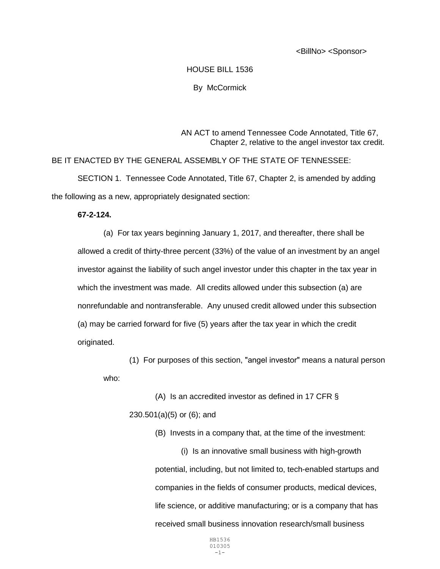<BillNo> <Sponsor>

## HOUSE BILL 1536 By McCormick

AN ACT to amend Tennessee Code Annotated, Title 67, Chapter 2, relative to the angel investor tax credit.

BE IT ENACTED BY THE GENERAL ASSEMBLY OF THE STATE OF TENNESSEE: SECTION 1. Tennessee Code Annotated, Title 67, Chapter 2, is amended by adding the following as a new, appropriately designated section:

## **67-2-124.**

(a) For tax years beginning January 1, 2017, and thereafter, there shall be allowed a credit of thirty-three percent (33%) of the value of an investment by an angel investor against the liability of such angel investor under this chapter in the tax year in which the investment was made. All credits allowed under this subsection (a) are nonrefundable and nontransferable. Any unused credit allowed under this subsection (a) may be carried forward for five (5) years after the tax year in which the credit originated.

(1) For purposes of this section, "angel investor" means a natural person who:

(A) Is an accredited investor as defined in 17 CFR § 230.501(a)(5) or (6); and

(B) Invests in a company that, at the time of the investment:

(i) Is an innovative small business with high-growth potential, including, but not limited to, tech-enabled startups and companies in the fields of consumer products, medical devices, life science, or additive manufacturing; or is a company that has received small business innovation research/small business

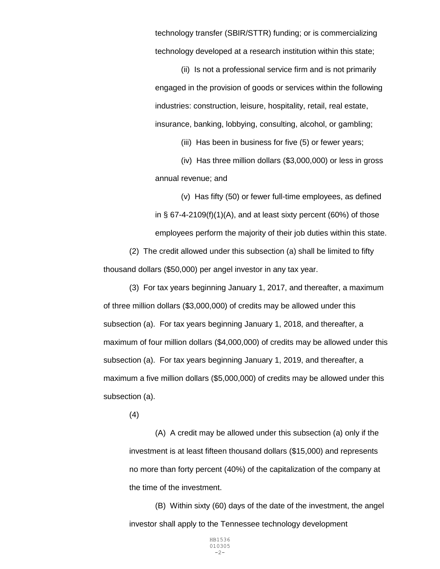technology transfer (SBIR/STTR) funding; or is commercializing technology developed at a research institution within this state;

(ii) Is not a professional service firm and is not primarily engaged in the provision of goods or services within the following industries: construction, leisure, hospitality, retail, real estate, insurance, banking, lobbying, consulting, alcohol, or gambling;

(iii) Has been in business for five (5) or fewer years;

(iv) Has three million dollars (\$3,000,000) or less in gross annual revenue; and

(v) Has fifty (50) or fewer full-time employees, as defined in  $\S$  67-4-2109(f)(1)(A), and at least sixty percent (60%) of those employees perform the majority of their job duties within this state.

(2) The credit allowed under this subsection (a) shall be limited to fifty thousand dollars (\$50,000) per angel investor in any tax year.

(3) For tax years beginning January 1, 2017, and thereafter, a maximum of three million dollars (\$3,000,000) of credits may be allowed under this subsection (a). For tax years beginning January 1, 2018, and thereafter, a maximum of four million dollars (\$4,000,000) of credits may be allowed under this subsection (a). For tax years beginning January 1, 2019, and thereafter, a maximum a five million dollars (\$5,000,000) of credits may be allowed under this subsection (a).

(4)

(A) A credit may be allowed under this subsection (a) only if the investment is at least fifteen thousand dollars (\$15,000) and represents no more than forty percent (40%) of the capitalization of the company at the time of the investment.

(B) Within sixty (60) days of the date of the investment, the angel investor shall apply to the Tennessee technology development

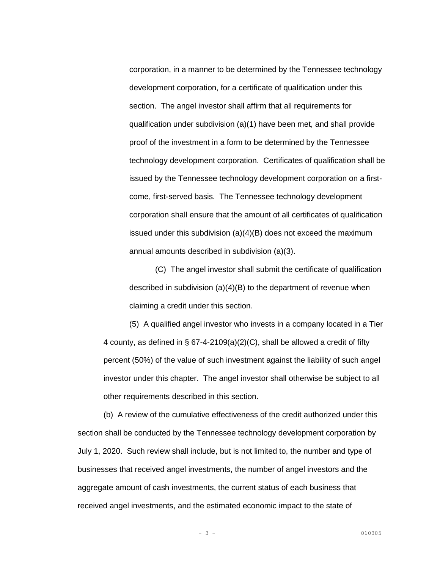corporation, in a manner to be determined by the Tennessee technology development corporation, for a certificate of qualification under this section. The angel investor shall affirm that all requirements for qualification under subdivision (a)(1) have been met, and shall provide proof of the investment in a form to be determined by the Tennessee technology development corporation. Certificates of qualification shall be issued by the Tennessee technology development corporation on a firstcome, first-served basis. The Tennessee technology development corporation shall ensure that the amount of all certificates of qualification issued under this subdivision (a)(4)(B) does not exceed the maximum annual amounts described in subdivision (a)(3).

(C) The angel investor shall submit the certificate of qualification described in subdivision (a)(4)(B) to the department of revenue when claiming a credit under this section.

(5) A qualified angel investor who invests in a company located in a Tier 4 county, as defined in § 67-4-2109(a)(2)(C), shall be allowed a credit of fifty percent (50%) of the value of such investment against the liability of such angel investor under this chapter. The angel investor shall otherwise be subject to all other requirements described in this section.

(b) A review of the cumulative effectiveness of the credit authorized under this section shall be conducted by the Tennessee technology development corporation by July 1, 2020. Such review shall include, but is not limited to, the number and type of businesses that received angel investments, the number of angel investors and the aggregate amount of cash investments, the current status of each business that received angel investments, and the estimated economic impact to the state of

- 3 - 010305